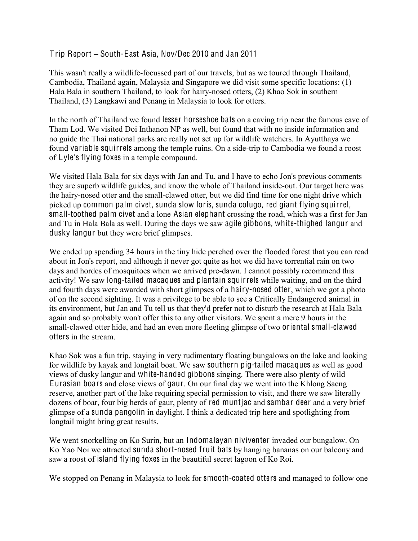## Trip Report – South-East Asia, Nov/Dec 2010 and Jan 2011

This wasn't really a wildlife-focussed part of our travels, but as we toured through Thailand, Cambodia, Thailand again, Malaysia and Singapore we did visit some specific locations: (1) Hala Bala in southern Thailand, to look for hairy-nosed otters, (2) Khao Sok in southern Thailand, (3) Langkawi and Penang in Malaysia to look for otters.

In the north of Thailand we found lesser horseshoe bats on a caving trip near the famous cave of Tham Lod. We visited Doi Inthanon NP as well, but found that with no inside information and no guide the Thai national parks are really not set up for wildlife watchers. In Ayutthaya we found variable squirrels among the temple ruins. On a side-trip to Cambodia we found a roost of Lyle's flying foxes in a temple compound.

We visited Hala Bala for six days with Jan and Tu, and I have to echo Jon's previous comments  $$ they are superb wildlife guides, and know the whole of Thailand inside-out. Our target here was the hairy-nosed otter and the small-clawed otter, but we did find time for one night drive which picked up common palm civet, sunda slow loris, sunda colugo, red giant flying squirrel, small-toothed palm civet and a lone Asian elephant crossing the road, which was a first for Jan and Tu in Hala Bala as well. During the days we saw agile gibbons, white-thighed langur and dusky langur but they were brief glimpses.

We ended up spending 34 hours in the tiny hide perched over the flooded forest that you can read about in Jon's report, and although it never got quite as hot we did have torrential rain on two days and hordes of mosquitoes when we arrived pre-dawn. I cannot possibly recommend this activity! We saw long-tailed macaques and plantain squirrels while waiting, and on the third and fourth days were awarded with short glimpses of a hairy-nosed otter, which we got a photo of on the second sighting. It was a privilege to be able to see a Critically Endangered animal in its environment, but Jan and Tu tell us that they'd prefer not to disturb the research at Hala Bala again and so probably won't offer this to any other visitors. We spent a mere 9 hours in the small-clawed otter hide, and had an even more fleeting glimpse of two oriental small-clawed otters in the stream.

Khao Sok was a fun trip, staying in very rudimentary floating bungalows on the lake and looking for wildlife by kayak and longtail boat. We saw southern pig-tailed macaques as well as good views of dusky langur and white-handed gibbons singing. There were also plenty of wild Eurasian boars and close views of gaur. On our final day we went into the Khlong Saeng reserve, another part of the lake requiring special permission to visit, and there we saw literally dozens of boar, four big herds of gaur, plenty of red muntjac and sambar deer and a very brief glimpse of a sunda pangolin in daylight. I think a dedicated trip here and spotlighting from longtail might bring great results.

We went snorkelling on Ko Surin, but an Indomalayan niviventer invaded our bungalow. On Ko Yao Noi we attracted sunda short-nosed fruit bats by hanging bananas on our balcony and saw a roost of island flying foxes in the beautiful secret lagoon of Ko Roi.

We stopped on Penang in Malaysia to look for smooth-coated otters and managed to follow one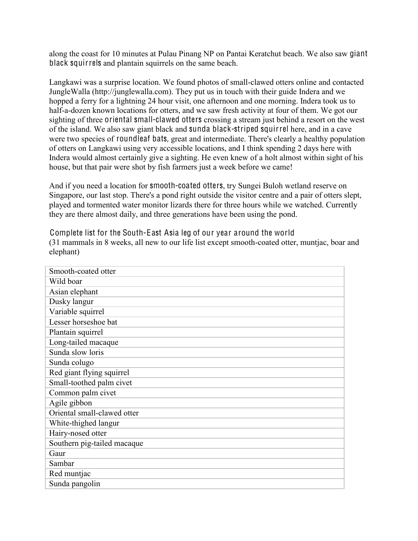along the coast for 10 minutes at Pulau Pinang NP on Pantai Keratchut beach. We also saw giant black squirrels and plantain squirrels on the same beach.

Langkawi was a surprise location. We found photos of small-clawed otters online and contacted JungleWalla (http://junglewalla.com). They put us in touch with their guide Indera and we hopped a ferry for a lightning 24 hour visit, one afternoon and one morning. Indera took us to half-a-dozen known locations for otters, and we saw fresh activity at four of them. We got our sighting of three oriental small-clawed otters crossing a stream just behind a resort on the west of the island. We also saw giant black and sunda black-striped squirrel here, and in a cave were two species of roundleaf bats, great and intermediate. There's clearly a healthy population of otters on Langkawi using very accessible locations, and I think spending 2 days here with Indera would almost certainly give a sighting. He even knew of a holt almost within sight of his house, but that pair were shot by fish farmers just a week before we came!

And if you need a location for smooth-coated otters, try Sungei Buloh wetland reserve on Singapore, our last stop. There's a pond right outside the visitor centre and a pair of otters slept, played and tormented water monitor lizards there for three hours while we watched. Currently they are there almost daily, and three generations have been using the pond.

Complete list for the South-East Asia leg of our year around the world (31 mammals in 8 weeks, all new to our life list except smooth-coated otter, muntjac, boar and elephant)

| Smooth-coated otter         |
|-----------------------------|
| Wild boar                   |
| Asian elephant              |
| Dusky langur                |
| Variable squirrel           |
| Lesser horseshoe bat        |
| Plantain squirrel           |
| Long-tailed macaque         |
| Sunda slow loris            |
| Sunda colugo                |
| Red giant flying squirrel   |
| Small-toothed palm civet    |
| Common palm civet           |
| Agile gibbon                |
| Oriental small-clawed otter |
| White-thighed langur        |
| Hairy-nosed otter           |
| Southern pig-tailed macaque |
| Gaur                        |
| Sambar                      |
| Red muntjac                 |
| Sunda pangolin              |